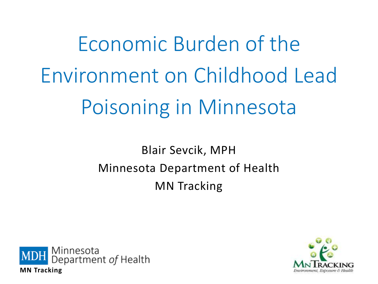Economic Burden of the Environment on Childhood Lead Poisoning in Minnesota

> Blair Sevcik, MPH Minnesota Department of Health MN Tracking



**MN Tracking**

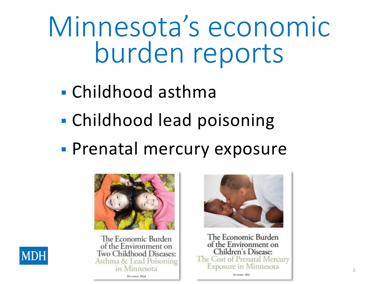Minnesota's economic burden reports

- Childhood asthma
- Childhood lead poisoning
- **Prenatal mercury exposure**







The Economic Burden of the Environment on Children's Disease: The Cost of Prenatal Mercury **Exposure in Minnesota** 

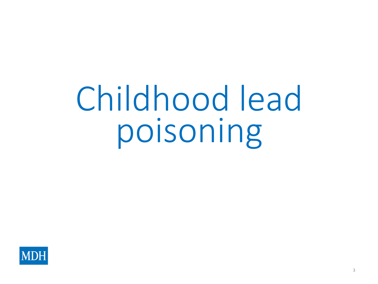# Childhood lead poisoning

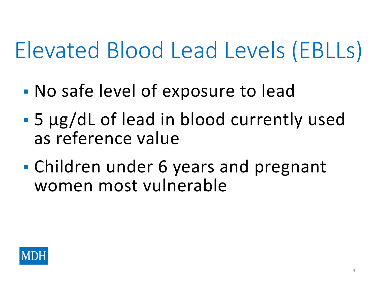### Elevated Blood Lead Levels (EBLLs)

- No safe level of exposure to lead
- 5 µg/dL of lead in blood currently used as reference value
- Children under 6 years and pregnant women most vulnerable

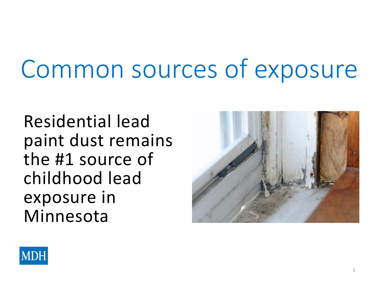## Common sources of exposure

Residential lead paint dust remains the #1 source of childhood lead exposure in Minnesota



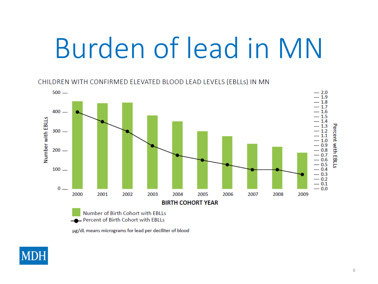# Burden of lead in MN

CHILDREN WITH CONFIRMED ELEVATED BLOOD LEAD LEVELS (EBLLS) IN MN



µg/dL means micrograms for lead per deciliter of blood

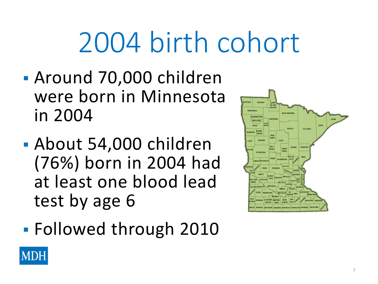# 2004 birth cohort

- Around 70,000 children were born in Minnesota in 2004
- About 54,000 children (76%) born in 2004 had at least one blood lead test by age 6
- Followed through 2010



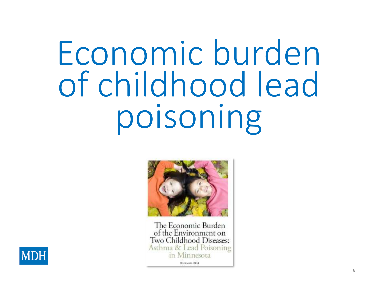# Economic burden of childhood lead poisoning



The Economic Burden of the Environment on Two Childhood Diseases: Asthma & Lead Poisoning in Minnesota Decrease 2014

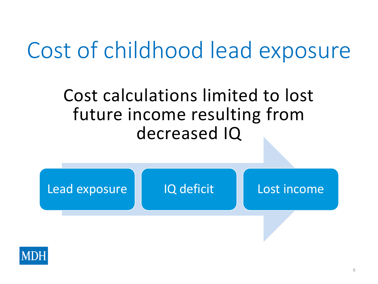### Cost of childhood lead exposure

#### Cost calculations limited to lost future income resulting from decreased IQ



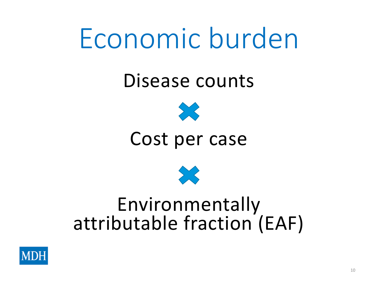## Economic burden

#### Disease counts



#### Cost per case



#### Environmentally attributable fraction (EAF)

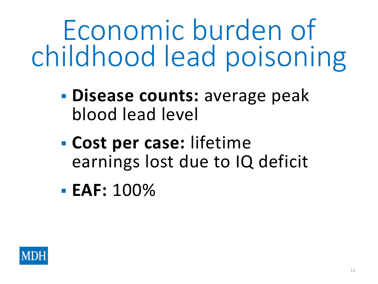Economic burden of childhood lead poisoning

- **Disease counts:** average peak blood lead level
- **Cost per case:** lifetime earnings lost due to IQ deficit
- **EAF:** 100%

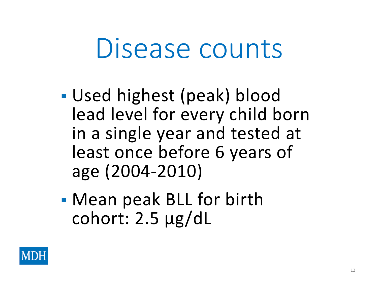### Disease counts

- Used highest (peak) blood lead level for every child born in a single year and tested at least once before 6 years of age (2004-2010)
- Mean peak BLL for birth cohort: 2.5 µg/dL

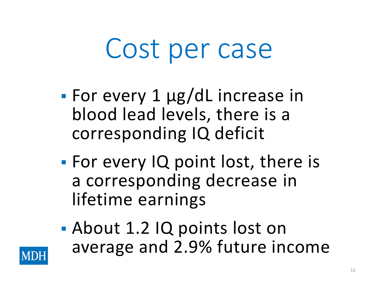## Cost per case

- For every 1 µg/dL increase in blood lead levels, there is a corresponding IQ deficit
- **For every IQ point lost, there is** a corresponding decrease in lifetime earnings
- About 1.2 IQ points lost on average and 2.9% future income

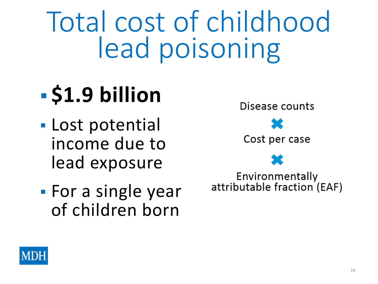Total cost of childhood lead poisoning

### $-$  **\$1.9 billion**

- Lost potential income due to lead exposure
- **For a single year** of children born



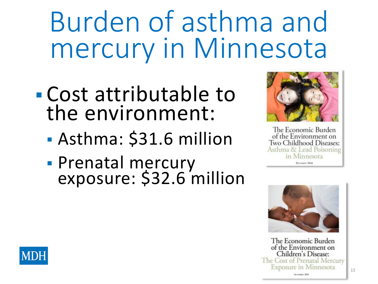## Burden of asthma and mercury in Minnesota

- Cost attributable to the environment:
	- Asthma: \$31.6 million
	- **Prenatal mercury** exposure: \$32.6 million



The Economic Burden of the Environment on Two Childhood Diseases: Asthma & Lead Poisoning in Minnesota Decruent 2014



The Economic Burden of the Environment on Children's Disease: The Cost of Prenatal Mercury **Exposure in Minnesota** 

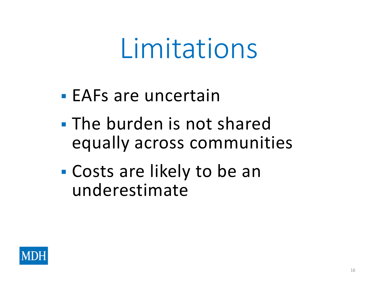## Limitations

- EAFs are uncertain
- **The burden is not shared** equally across communities
- Costs are likely to be an underestimate

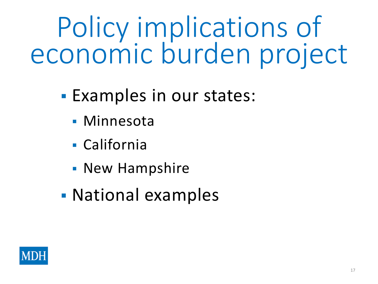Policy implications of economic burden project

- **Examples in our states:** 
	- **Minnesota**
	- California
	- New Hampshire
- National examples

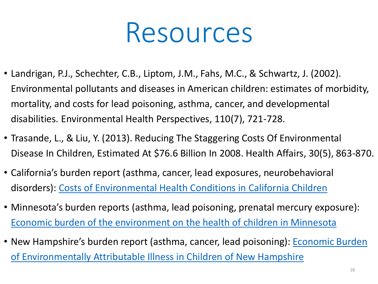### Resources

- Landrigan, P.J., Schechter, C.B., Liptom, J.M., Fahs, M.C., & Schwartz, J. (2002). Environmental pollutants and diseases in American children: estimates of morbidity, mortality, and costs for lead poisoning, asthma, cancer, and developmental disabilities. Environmental Health Perspectives, 110(7), 721-728.
- Trasande, L., & Liu, Y. (2013). Reducing The Staggering Costs Of Environmental Disease In Children, Estimated At \$76.6 Billion In 2008. Health Affairs, 30(5), 863-870.
- California's burden report (asthma, cancer, lead exposures, neurobehavioral disorders): [Costs of Environmental Health Conditions in California Children](http://www.phi.org/resources/?resource=cehtpkidshealthcosts)
- Minnesota's burden reports (asthma, lead poisoning, prenatal mercury exposure): [Economic burden of the environment on the health of children in Minnesota](http://www.health.state.mn.us/tracking/projects/burden.html)
- New Hampshire's burden report (asthma, cancer, lead poisoning): **Economic Burden** [of Environmentally Attributable Illness in Children of New Hampshire](http://www.nh.gov/epht/publications/documents/nhchildrenreport.pdf)